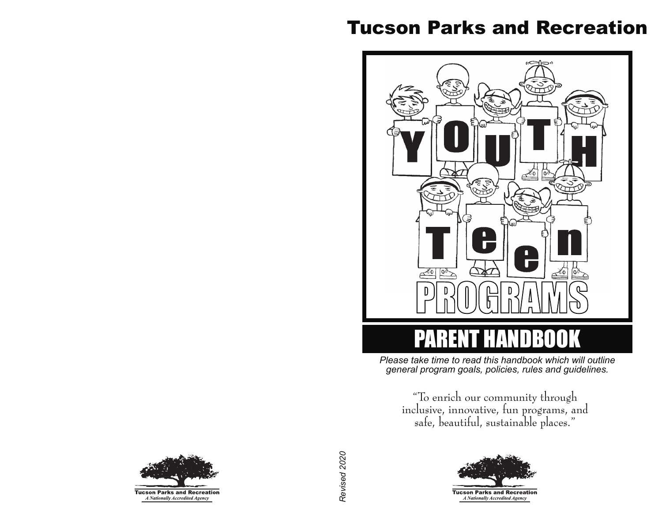# Tucson Parks and Recreation



*Please take time to read this handbook which will outline general program goals, policies, rules and guidelines.*

"To enrich our community through inclusive, innovative, fun programs, and safe, beautiful, sustainable places."





Revised 2020 *Revised 2020*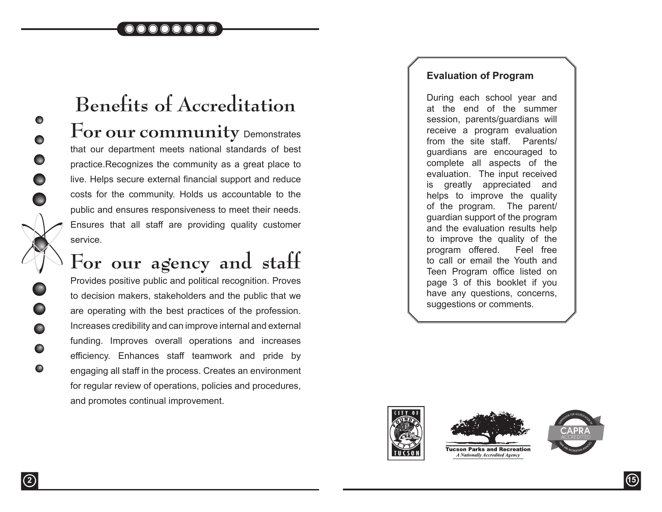

# **Benefits of Accreditation** For our community Demonstrates that our department meets national standards of best practice.Recognizes the community as a great place to live. Helps secure external financial support and reduce costs for the community. Holds us accountable to the public and ensures responsiveness to meet their needs. Ensures that all staff are providing quality customer service.

# **For our agency and staff**

Provides positive public and political recognition. Proves to decision makers, stakeholders and the public that we are operating with the best practices of the profession. Increases credibility and can improve internal and external funding. Improves overall operations and increases efficiency. Enhances staff teamwork and pride by engaging all staff in the process. Creates an environment for regular review of operations, policies and procedures, and promotes continual improvement.

#### **Evaluation of Program**

During each school year and at the end of the summer session, parents/guardians will receive a program evaluation from the site staff. Parents/ guardians are encouraged to complete all aspects of the evaluation. The input received is greatly appreciated and helps to improve the quality of the program. The parent/ guardian support of the program and the evaluation results help to improve the quality of the program offered. Feel free to call or email the Youth and Teen Program office listed on page 3 of this booklet if you have any questions, concerns, suggestions or comments.





**Tucson Parks and Recreation** A Nationally Accredited Agency





 $\bullet$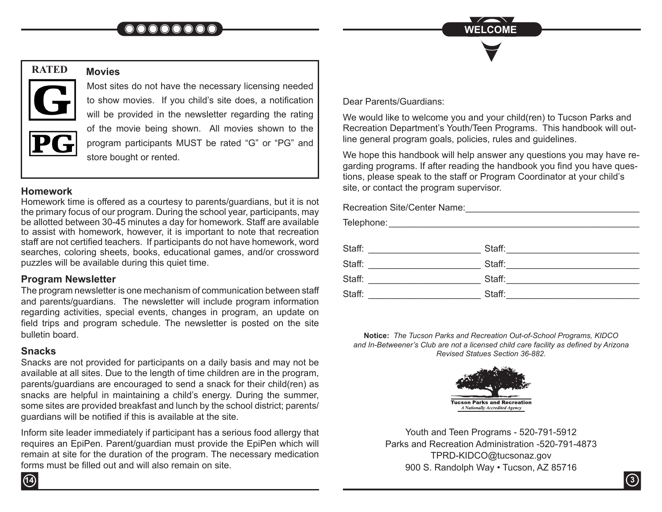

# **RATED**



#### **Movies**

Most sites do not have the necessary licensing needed to show movies. If you child's site does, a notification will be provided in the newsletter regarding the rating of the movie being shown. All movies shown to the program participants MUST be rated "G" or "PG" and store bought or rented.

#### **Homework**

Homework time is offered as a courtesy to parents/guardians, but it is not the primary focus of our program. During the school year, participants, may be allotted between 30-45 minutes a day for homework. Staff are available to assist with homework, however, it is important to note that recreation staff are not certified teachers. If participants do not have homework, word searches, coloring sheets, books, educational games, and/or crossword puzzles will be available during this quiet time.

#### **Program Newsletter**

The program newsletter is one mechanism of communication between staff and parents/guardians. The newsletter will include program information regarding activities, special events, changes in program, an update on field trips and program schedule. The newsletter is posted on the site bulletin board.

### **Snacks**

**14**

Snacks are not provided for participants on a daily basis and may not be available at all sites. Due to the length of time children are in the program, parents/guardians are encouraged to send a snack for their child(ren) as snacks are helpful in maintaining a child's energy. During the summer, some sites are provided breakfast and lunch by the school district; parents/ guardians will be notified if this is available at the site.

Inform site leader immediately if participant has a serious food allergy that requires an EpiPen. Parent/guardian must provide the EpiPen which will remain at site for the duration of the program. The necessary medication forms must be filled out and will also remain on site.

Dear Parents/Guardians:

We would like to welcome you and your child(ren) to Tucson Parks and Recreation Department's Youth/Teen Programs. This handbook will outline general program goals, policies, rules and guidelines.

We hope this handbook will help answer any questions you may have regarding programs. If after reading the handbook you find you have questions, please speak to the staff or Program Coordinator at your child's site, or contact the program supervisor.

Recreation Site/Center Name:\_\_\_\_\_\_\_\_\_\_\_\_\_\_\_\_\_\_\_\_\_\_\_\_\_\_\_\_\_\_\_\_\_\_ Telephone:\_\_\_\_\_\_\_\_\_\_\_\_\_\_\_\_\_\_\_\_\_\_\_\_\_\_\_\_\_\_\_\_\_\_\_\_\_\_\_\_\_\_\_\_\_\_\_\_\_ Staff: \_\_\_\_\_\_\_\_\_\_\_\_\_\_\_\_\_\_\_\_\_\_ Staff:\_\_\_\_\_\_\_\_\_\_\_\_\_\_\_\_\_\_\_\_\_\_\_\_\_\_ Staff: \_\_\_\_\_\_\_\_\_\_\_\_\_\_\_\_\_\_\_\_\_\_ Staff:\_\_\_\_\_\_\_\_\_\_\_\_\_\_\_\_\_\_\_\_\_\_\_\_\_\_ Staff: \_\_\_\_\_\_\_\_\_\_\_\_\_\_\_\_\_\_\_\_\_\_ Staff:\_\_\_\_\_\_\_\_\_\_\_\_\_\_\_\_\_\_\_\_\_\_\_\_\_\_ Staff: \_\_\_\_\_\_\_\_\_\_\_\_\_\_\_\_\_\_\_\_\_\_ Staff:\_\_\_\_\_\_\_\_\_\_\_\_\_\_\_\_\_\_\_\_\_\_\_\_\_\_

**Notice:** *The Tucson Parks and Recreation Out-of-School Programs, KIDCO and In-Betweener's Club are not a licensed child care facility as defined by Arizona Revised Statues Section 36-882.*



Youth and Teen Programs - 520-791-5912 Parks and Recreation Administration -520-791-4873 TPRD-KIDCO@tucsonaz.gov 900 S. Randolph Way • Tucson, AZ 85716

**3**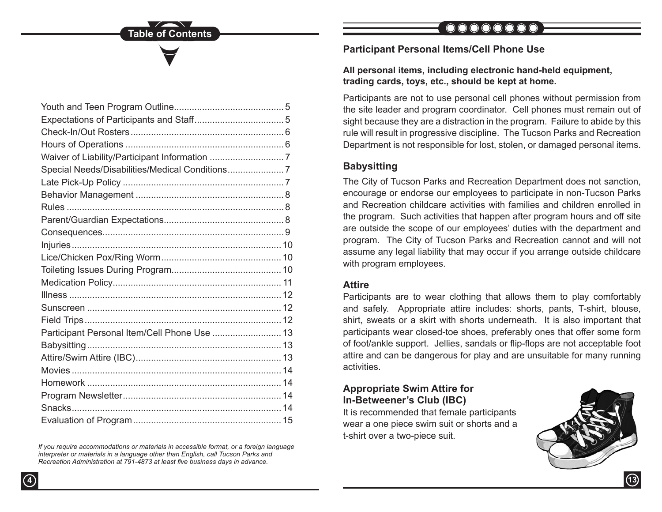| Participant Personal Item/Cell Phone Use  13 |  |
|----------------------------------------------|--|
|                                              |  |
|                                              |  |
|                                              |  |
|                                              |  |
|                                              |  |
|                                              |  |
|                                              |  |

*If you require accommodations or materials in accessible format, or a foreign language interpreter or materials in a language other than English, call Tucson Parks and Recreation Administration at 791-4873 at least five business days in advance.*

# $\bigcirc$

#### **Participant Personal Items/Cell Phone Use**

#### **All personal items, including electronic hand-held equipment, trading cards, toys, etc., should be kept at home.**

Participants are not to use personal cell phones without permission from the site leader and program coordinator. Cell phones must remain out of sight because they are a distraction in the program. Failure to abide by this rule will result in progressive discipline. The Tucson Parks and Recreation Department is not responsible for lost, stolen, or damaged personal items.

### **Babysitting**

The City of Tucson Parks and Recreation Department does not sanction, encourage or endorse our employees to participate in non-Tucson Parks and Recreation childcare activities with families and children enrolled in the program. Such activities that happen after program hours and off site are outside the scope of our employees' duties with the department and program. The City of Tucson Parks and Recreation cannot and will not assume any legal liability that may occur if you arrange outside childcare with program employees.

#### **Attire**

Participants are to wear clothing that allows them to play comfortably and safely. Appropriate attire includes: shorts, pants, T-shirt, blouse, shirt, sweats or a skirt with shorts underneath. It is also important that participants wear closed-toe shoes, preferably ones that offer some form of foot/ankle support. Jellies, sandals or flip-flops are not acceptable foot attire and can be dangerous for play and are unsuitable for many running activities.

#### **Appropriate Swim Attire for In-Betweener's Club (IBC)**

It is recommended that female participants wear a one piece swim suit or shorts and a t-shirt over a two-piece suit.



**4 13**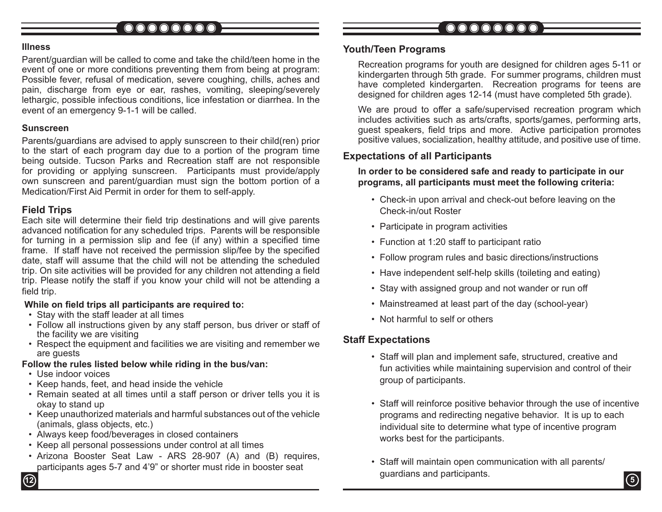# 

## 

#### **Illness**

Parent/guardian will be called to come and take the child/teen home in the event of one or more conditions preventing them from being at program: Possible fever, refusal of medication, severe coughing, chills, aches and pain, discharge from eye or ear, rashes, vomiting, sleeping/severely lethargic, possible infectious conditions, lice infestation or diarrhea. In the event of an emergency 9-1-1 will be called.

#### **Sunscreen**

Parents/guardians are advised to apply sunscreen to their child(ren) prior to the start of each program day due to a portion of the program time being outside. Tucson Parks and Recreation staff are not responsible for providing or applying sunscreen. Participants must provide/apply own sunscreen and parent/guardian must sign the bottom portion of a Medication/First Aid Permit in order for them to self-apply.

#### **Field Trips**

Each site will determine their field trip destinations and will give parents advanced notification for any scheduled trips. Parents will be responsible for turning in a permission slip and fee (if any) within a specified time frame. If staff have not received the permission slip/fee by the specified date, staff will assume that the child will not be attending the scheduled trip. On site activities will be provided for any children not attending a field trip. Please notify the staff if you know your child will not be attending a field trip.

#### **While on field trips all participants are required to:**

- Stay with the staff leader at all times
- Follow all instructions given by any staff person, bus driver or staff of the facility we are visiting
- Respect the equipment and facilities we are visiting and remember we are guests

#### **Follow the rules listed below while riding in the bus/van:**

- Use indoor voices
- Keep hands, feet, and head inside the vehicle
- Remain seated at all times until a staff person or driver tells you it is okay to stand up
- Keep unauthorized materials and harmful substances out of the vehicle (animals, glass objects, etc.)
- Always keep food/beverages in closed containers
- Keep all personal possessions under control at all times
- Arizona Booster Seat Law ARS 28-907 (A) and (B) requires, participants ages 5-7 and 4'9" or shorter must ride in booster seat

#### **Youth/Teen Programs**

Recreation programs for youth are designed for children ages 5-11 or kindergarten through 5th grade. For summer programs, children must have completed kindergarten. Recreation programs for teens are designed for children ages 12-14 (must have completed 5th grade).

We are proud to offer a safe/supervised recreation program which includes activities such as arts/crafts, sports/games, performing arts, guest speakers, field trips and more. Active participation promotes positive values, socialization, healthy attitude, and positive use of time.

### **Expectations of all Participants**

#### **In order to be considered safe and ready to participate in our programs, all participants must meet the following criteria:**

- Check-in upon arrival and check-out before leaving on the Check-in/out Roster
- Participate in program activities
- Function at 1:20 staff to participant ratio
- Follow program rules and basic directions/instructions
- Have independent self-help skills (toileting and eating)
- Stay with assigned group and not wander or run off
- Mainstreamed at least part of the day (school-year)
- Not harmful to self or others

### **Staff Expectations**

- Staff will plan and implement safe, structured, creative and fun activities while maintaining supervision and control of their group of participants.
- Staff will reinforce positive behavior through the use of incentive programs and redirecting negative behavior. It is up to each individual site to determine what type of incentive program works best for the participants.
- Staff will maintain open communication with all parents/ guardians and participants. **<sup>12</sup> <sup>5</sup>**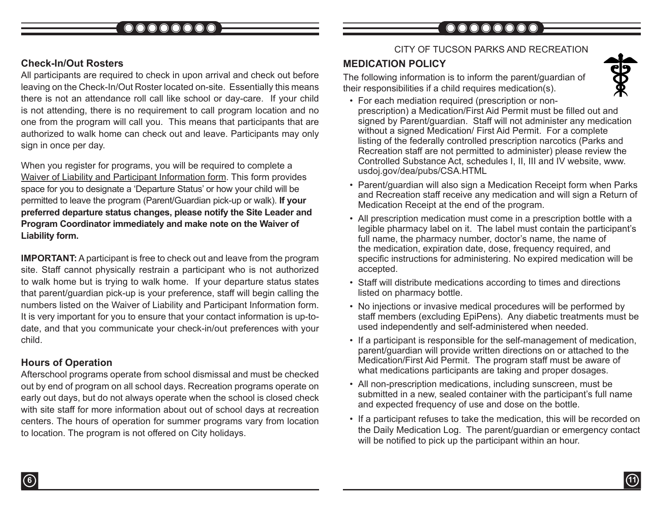#### **Check-In/Out Rosters**

All participants are required to check in upon arrival and check out before leaving on the Check-In/Out Roster located on-site. Essentially this means there is not an attendance roll call like school or day-care. If your child is not attending, there is no requirement to call program location and no one from the program will call you. This means that participants that are authorized to walk home can check out and leave. Participants may only sign in once per day.

When you register for programs, you will be required to complete a Waiver of Liability and Participant Information form. This form provides space for you to designate a 'Departure Status' or how your child will be permitted to leave the program (Parent/Guardian pick-up or walk). **If your preferred departure status changes, please notify the Site Leader and Program Coordinator immediately and make note on the Waiver of Liability form.** 

**IMPORTANT:** A participant is free to check out and leave from the program site. Staff cannot physically restrain a participant who is not authorized to walk home but is trying to walk home. If your departure status states that parent/guardian pick-up is your preference, staff will begin calling the numbers listed on the Waiver of Liability and Participant Information form. It is very important for you to ensure that your contact information is up-todate, and that you communicate your check-in/out preferences with your child.

### **Hours of Operation**

Afterschool programs operate from school dismissal and must be checked out by end of program on all school days. Recreation programs operate on early out days, but do not always operate when the school is closed check with site staff for more information about out of school days at recreation centers. The hours of operation for summer programs vary from location to location. The program is not offered on City holidays.

#### CITY OF TUCSON PARKS AND RECREATION

### **MEDICATION POLICY**

The following information is to inform the parent/guardian of their responsibilities if a child requires medication(s).



- For each mediation required (prescription or nonprescription) a Medication/First Aid Permit must be filled out and signed by Parent/guardian. Staff will not administer any medication without a signed Medication/ First Aid Permit. For a complete listing of the federally controlled prescription narcotics (Parks and Recreation staff are not permitted to administer) please review the Controlled Substance Act, schedules I, II, III and IV website, www. usdoj.gov/dea/pubs/CSA.HTML
- Parent/guardian will also sign a Medication Receipt form when Parks and Recreation staff receive any medication and will sign a Return of Medication Receipt at the end of the program.
- All prescription medication must come in a prescription bottle with a legible pharmacy label on it. The label must contain the participant's full name, the pharmacy number, doctor's name, the name of the medication, expiration date, dose, frequency required, and specific instructions for administering. No expired medication will be accepted.
- Staff will distribute medications according to times and directions listed on pharmacy bottle.
- No injections or invasive medical procedures will be performed by staff members (excluding EpiPens). Any diabetic treatments must be used independently and self-administered when needed.
- If a participant is responsible for the self-management of medication, parent/guardian will provide written directions on or attached to the Medication/First Aid Permit. The program staff must be aware of what medications participants are taking and proper dosages.
- All non-prescription medications, including sunscreen, must be submitted in a new, sealed container with the participant's full name and expected frequency of use and dose on the bottle.
- If a participant refuses to take the medication, this will be recorded on the Daily Medication Log. The parent/guardian or emergency contact will be notified to pick up the participant within an hour.

**6 11**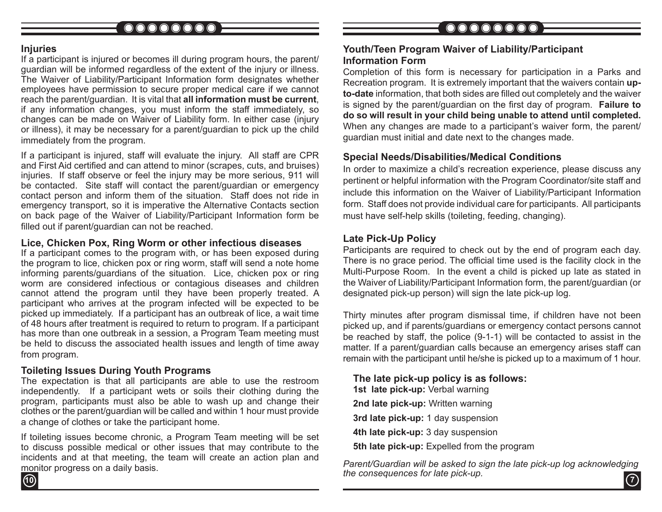## 

## 

#### **Injuries**

If a participant is injured or becomes ill during program hours, the parent/ guardian will be informed regardless of the extent of the injury or illness. The Waiver of Liability/Participant Information form designates whether employees have permission to secure proper medical care if we cannot reach the parent/guardian. It is vital that **all information must be current**, if any information changes, you must inform the staff immediately, so changes can be made on Waiver of Liability form. In either case (injury or illness), it may be necessary for a parent/guardian to pick up the child immediately from the program.

If a participant is injured, staff will evaluate the injury. All staff are CPR and First Aid certified and can attend to minor (scrapes, cuts, and bruises) injuries. If staff observe or feel the injury may be more serious, 911 will be contacted. Site staff will contact the parent/guardian or emergency contact person and inform them of the situation. Staff does not ride in emergency transport, so it is imperative the Alternative Contacts section on back page of the Waiver of Liability/Participant Information form be filled out if parent/guardian can not be reached.

#### **Lice, Chicken Pox, Ring Worm or other infectious diseases**

If a participant comes to the program with, or has been exposed during the program to lice, chicken pox or ring worm, staff will send a note home informing parents/guardians of the situation. Lice, chicken pox or ring worm are considered infectious or contagious diseases and children cannot attend the program until they have been properly treated. A participant who arrives at the program infected will be expected to be picked up immediately. If a participant has an outbreak of lice, a wait time of 48 hours after treatment is required to return to program. If a participant has more than one outbreak in a session, a Program Team meeting must be held to discuss the associated health issues and length of time away from program.

#### **Toileting Issues During Youth Programs**

The expectation is that all participants are able to use the restroom independently. If a participant wets or soils their clothing during the program, participants must also be able to wash up and change their clothes or the parent/guardian will be called and within 1 hour must provide a change of clothes or take the participant home.

If toileting issues become chronic, a Program Team meeting will be set to discuss possible medical or other issues that may contribute to the incidents and at that meeting, the team will create an action plan and monitor progress on a daily basis.

#### **Youth/Teen Program Waiver of Liability/Participant Information Form**

Completion of this form is necessary for participation in a Parks and Recreation program. It is extremely important that the waivers contain **upto-date** information, that both sides are filled out completely and the waiver is signed by the parent/guardian on the first day of program. **Failure to do so will result in your child being unable to attend until completed.** When any changes are made to a participant's waiver form, the parent/ guardian must initial and date next to the changes made.

#### **Special Needs/Disabilities/Medical Conditions**

In order to maximize a child's recreation experience, please discuss any pertinent or helpful information with the Program Coordinator/site staff and include this information on the Waiver of Liability/Participant Information form. Staff does not provide individual care for participants. All participants must have self-help skills (toileting, feeding, changing).

#### **Late Pick-Up Policy**

Participants are required to check out by the end of program each day. There is no grace period. The official time used is the facility clock in the Multi-Purpose Room. In the event a child is picked up late as stated in the Waiver of Liability/Participant Information form, the parent/guardian (or designated pick-up person) will sign the late pick-up log.

Thirty minutes after program dismissal time, if children have not been picked up, and if parents/guardians or emergency contact persons cannot be reached by staff, the police (9-1-1) will be contacted to assist in the matter. If a parent/guardian calls because an emergency arises staff can remain with the participant until he/she is picked up to a maximum of 1 hour.

**The late pick-up policy is as follows: 1st late pick-up:** Verbal warning **2nd late pick-up:** Written warning **3rd late pick-up:** 1 day suspension **4th late pick-up:** 3 day suspension **5th late pick-up:** Expelled from the program

**10 7** *Parent/Guardian will be asked to sign the late pick-up log acknowledging the consequences for late pick-up.*